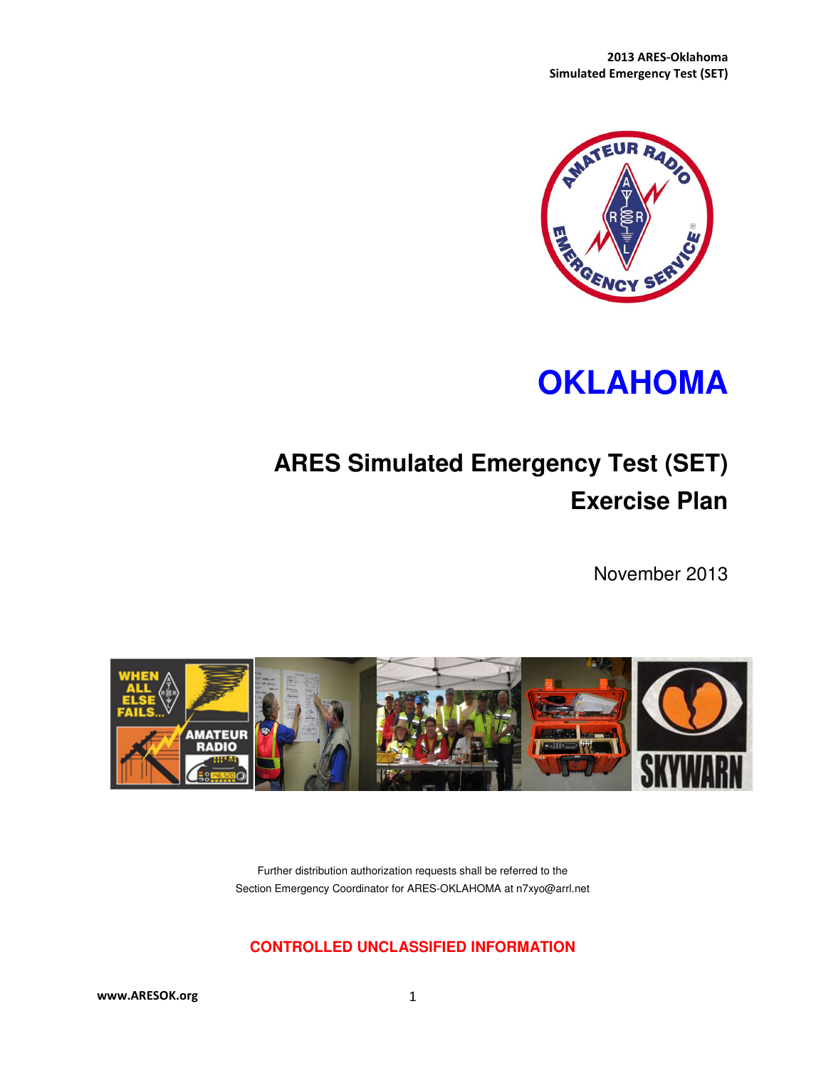

# **OKLAHOMA**

# **ARES Simulated Emergency Test (SET) Exercise Plan**

November 2013



Further distribution authorization requests shall be referred to the Section Emergency Coordinator for ARES-OKLAHOMA at n7xyo@arrl.net

#### **CONTROLLED UNCLASSIFIED INFORMATION**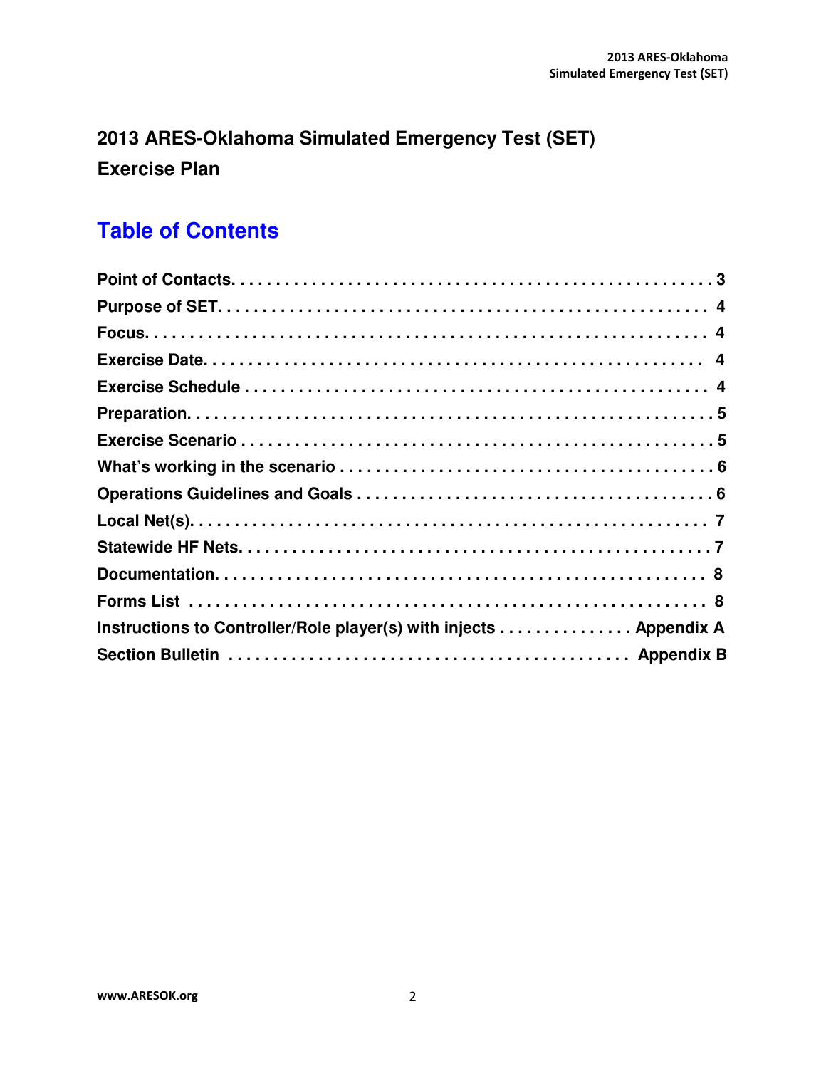# **2013 ARES-Oklahoma Simulated Emergency Test (SET) Exercise Plan**

# **Table of Contents**

| Instructions to Controller/Role player(s) with injects Appendix A |
|-------------------------------------------------------------------|
|                                                                   |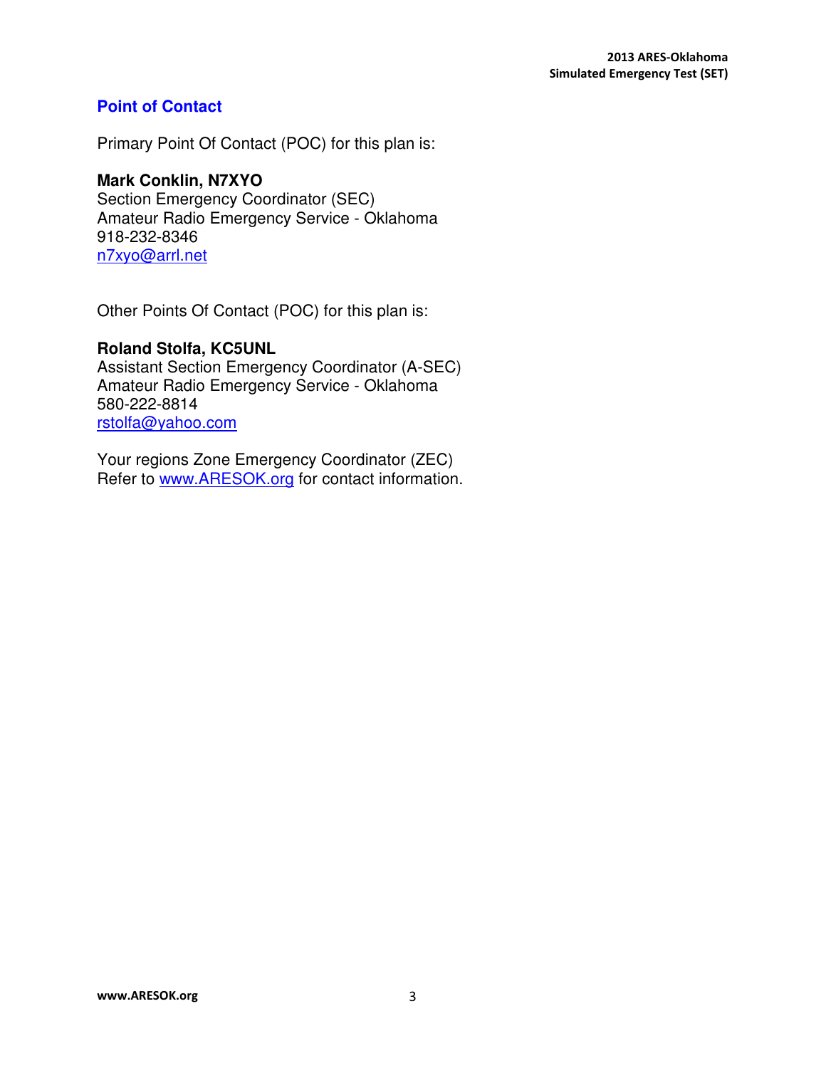### **Point of Contact**

Primary Point Of Contact (POC) for this plan is:

## **Mark Conklin, N7XYO**

Section Emergency Coordinator (SEC) Amateur Radio Emergency Service - Oklahoma 918-232-8346 n7xyo@arrl.net

Other Points Of Contact (POC) for this plan is:

#### **Roland Stolfa, KC5UNL**

Assistant Section Emergency Coordinator (A-SEC) Amateur Radio Emergency Service - Oklahoma 580-222-8814 rstolfa@yahoo.com

Your regions Zone Emergency Coordinator (ZEC) Refer to www.ARESOK.org for contact information.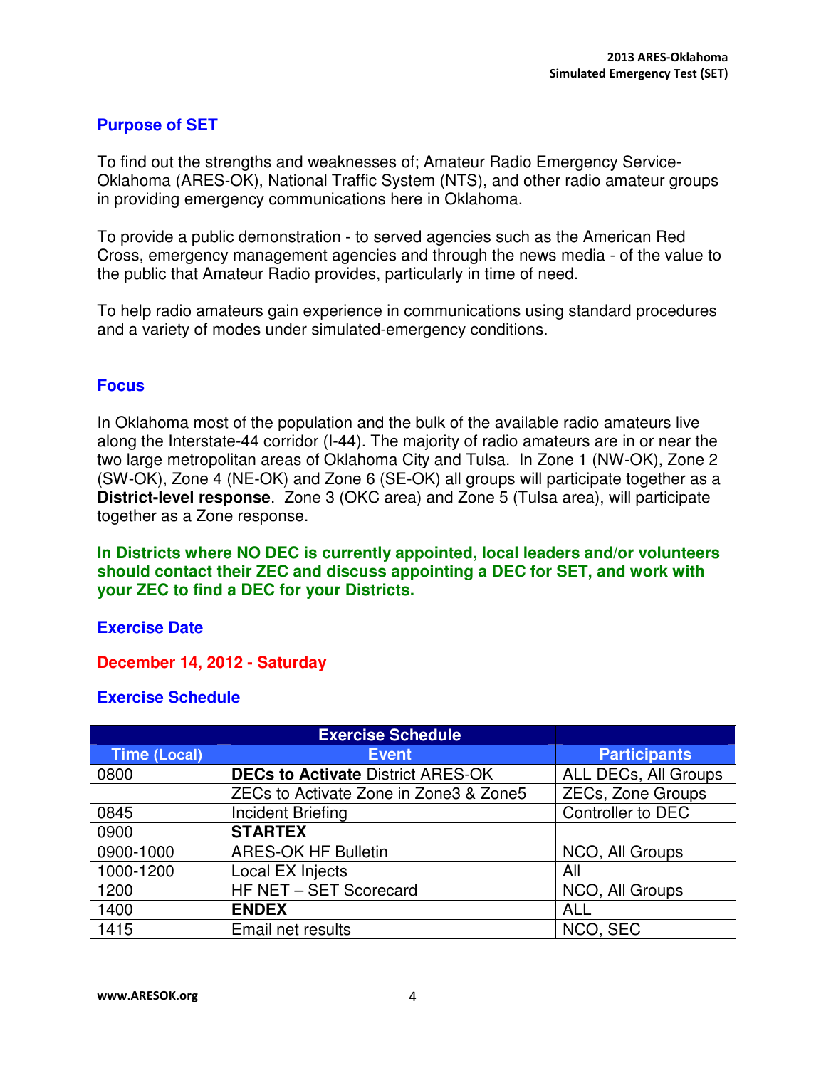## **Purpose of SET**

To find out the strengths and weaknesses of; Amateur Radio Emergency Service-Oklahoma (ARES-OK), National Traffic System (NTS), and other radio amateur groups in providing emergency communications here in Oklahoma.

To provide a public demonstration - to served agencies such as the American Red Cross, emergency management agencies and through the news media - of the value to the public that Amateur Radio provides, particularly in time of need.

To help radio amateurs gain experience in communications using standard procedures and a variety of modes under simulated-emergency conditions.

#### **Focus**

In Oklahoma most of the population and the bulk of the available radio amateurs live along the Interstate-44 corridor (I-44). The majority of radio amateurs are in or near the two large metropolitan areas of Oklahoma City and Tulsa. In Zone 1 (NW-OK), Zone 2 (SW-OK), Zone 4 (NE-OK) and Zone 6 (SE-OK) all groups will participate together as a **District-level response**. Zone 3 (OKC area) and Zone 5 (Tulsa area), will participate together as a Zone response.

**In Districts where NO DEC is currently appointed, local leaders and/or volunteers should contact their ZEC and discuss appointing a DEC for SET, and work with your ZEC to find a DEC for your Districts.** 

#### **Exercise Date**

#### **December 14, 2012 - Saturday**

#### **Exercise Schedule**

|                     | <b>Exercise Schedule</b>                 |                          |
|---------------------|------------------------------------------|--------------------------|
| <b>Time (Local)</b> | <b>Event</b>                             | <b>Participants</b>      |
| 0800                | <b>DECs to Activate District ARES-OK</b> | ALL DECs, All Groups     |
|                     | ZECs to Activate Zone in Zone3 & Zone5   | <b>ZECs, Zone Groups</b> |
| 0845                | <b>Incident Briefing</b>                 | Controller to DEC        |
| 0900                | <b>STARTEX</b>                           |                          |
| 0900-1000           | <b>ARES-OK HF Bulletin</b>               | NCO, All Groups          |
| 1000-1200           | Local EX Injects                         | All                      |
| 1200                | HF NET - SET Scorecard                   | NCO, All Groups          |
| 1400                | <b>ENDEX</b>                             | <b>ALL</b>               |
| 1415                | Email net results                        | NCO, SEC                 |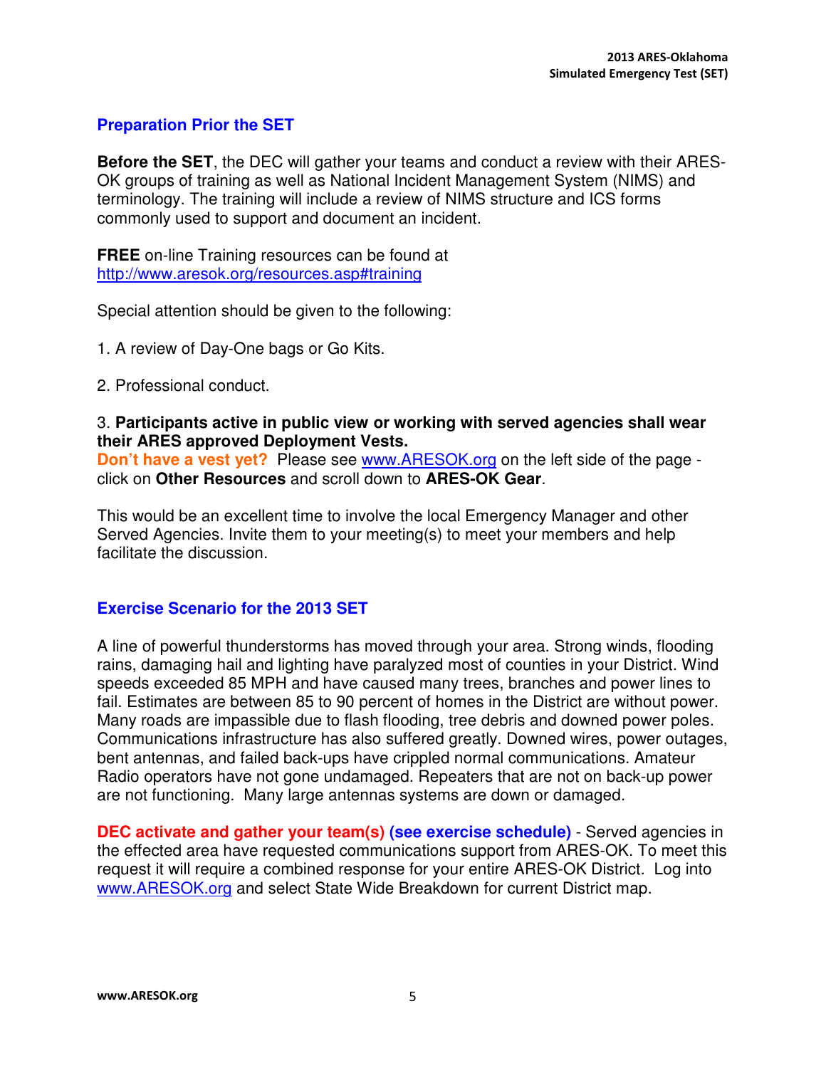## **Preparation Prior the SET**

**Before the SET**, the DEC will gather your teams and conduct a review with their ARES-OK groups of training as well as National Incident Management System (NIMS) and terminology. The training will include a review of NIMS structure and ICS forms commonly used to support and document an incident.

**FREE** on-line Training resources can be found at http://www.aresok.org/resources.asp#training

Special attention should be given to the following:

- 1. A review of Day-One bags or Go Kits.
- 2. Professional conduct.

3. **Participants active in public view or working with served agencies shall wear their ARES approved Deployment Vests.**

**Don't have a vest yet?** Please see www.ARESOK.org on the left side of the page click on **Other Resources** and scroll down to **ARES-OK Gear**.

This would be an excellent time to involve the local Emergency Manager and other Served Agencies. Invite them to your meeting(s) to meet your members and help facilitate the discussion.

#### **Exercise Scenario for the 2013 SET**

A line of powerful thunderstorms has moved through your area. Strong winds, flooding rains, damaging hail and lighting have paralyzed most of counties in your District. Wind speeds exceeded 85 MPH and have caused many trees, branches and power lines to fail. Estimates are between 85 to 90 percent of homes in the District are without power. Many roads are impassible due to flash flooding, tree debris and downed power poles. Communications infrastructure has also suffered greatly. Downed wires, power outages, bent antennas, and failed back-ups have crippled normal communications. Amateur Radio operators have not gone undamaged. Repeaters that are not on back-up power are not functioning. Many large antennas systems are down or damaged.

**DEC activate and gather your team(s) (see exercise schedule)** - Served agencies in the effected area have requested communications support from ARES-OK. To meet this request it will require a combined response for your entire ARES-OK District. Log into www.ARESOK.org and select State Wide Breakdown for current District map.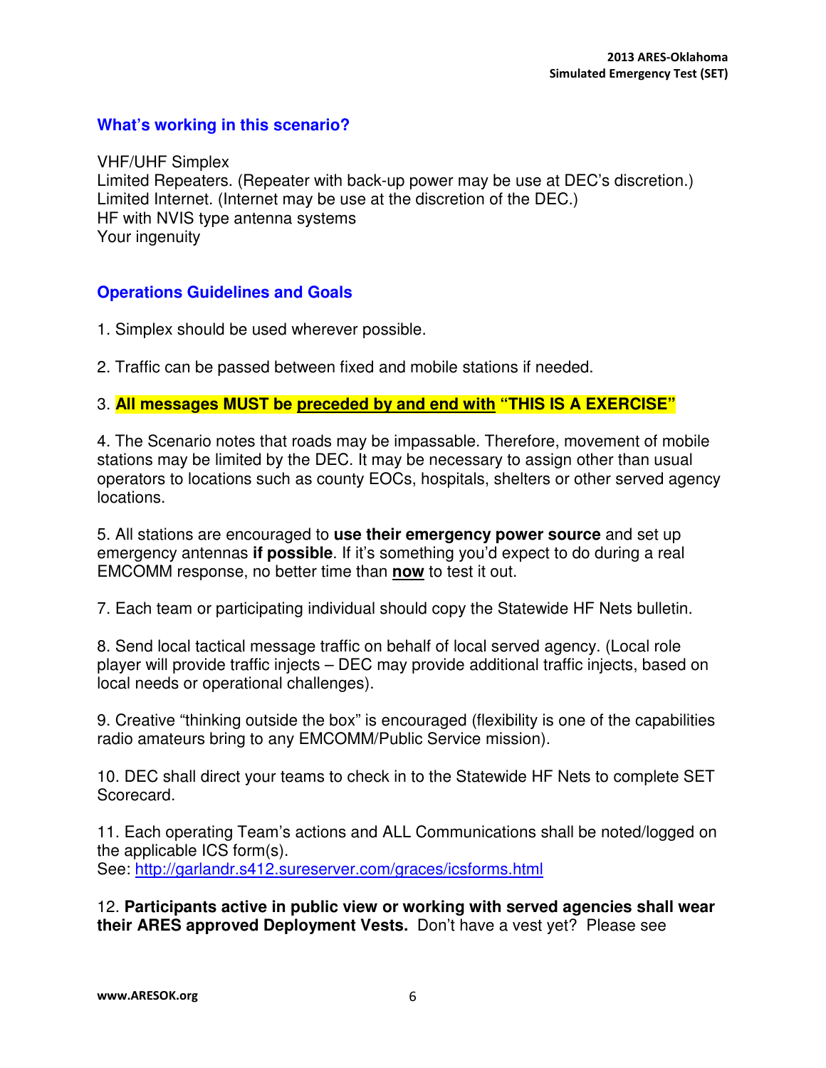#### **What's working in this scenario?**

VHF/UHF Simplex Limited Repeaters. (Repeater with back-up power may be use at DEC's discretion.) Limited Internet. (Internet may be use at the discretion of the DEC.) HF with NVIS type antenna systems Your ingenuity

#### **Operations Guidelines and Goals**

1. Simplex should be used wherever possible.

2. Traffic can be passed between fixed and mobile stations if needed.

#### 3. **All messages MUST be preceded by and end with "THIS IS A EXERCISE"**

4. The Scenario notes that roads may be impassable. Therefore, movement of mobile stations may be limited by the DEC. It may be necessary to assign other than usual operators to locations such as county EOCs, hospitals, shelters or other served agency locations.

5. All stations are encouraged to **use their emergency power source** and set up emergency antennas **if possible**. If it's something you'd expect to do during a real EMCOMM response, no better time than **now** to test it out.

7. Each team or participating individual should copy the Statewide HF Nets bulletin.

8. Send local tactical message traffic on behalf of local served agency. (Local role player will provide traffic injects – DEC may provide additional traffic injects, based on local needs or operational challenges).

9. Creative "thinking outside the box" is encouraged (flexibility is one of the capabilities radio amateurs bring to any EMCOMM/Public Service mission).

10. DEC shall direct your teams to check in to the Statewide HF Nets to complete SET Scorecard.

11. Each operating Team's actions and ALL Communications shall be noted/logged on the applicable ICS form(s). See: http://garlandr.s412.sureserver.com/graces/icsforms.html

12. **Participants active in public view or working with served agencies shall wear their ARES approved Deployment Vests.** Don't have a vest yet? Please see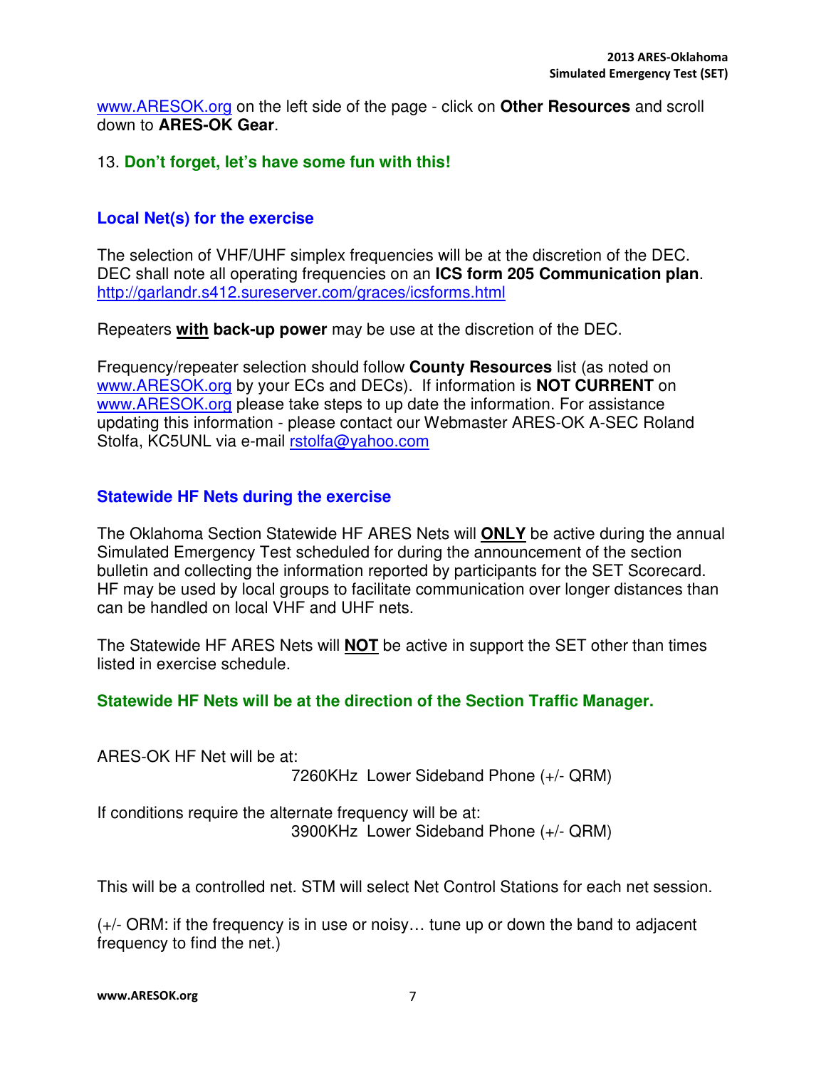www.ARESOK.org on the left side of the page - click on **Other Resources** and scroll down to **ARES-OK Gear**.

#### 13. **Don't forget, let's have some fun with this!**

#### **Local Net(s) for the exercise**

The selection of VHF/UHF simplex frequencies will be at the discretion of the DEC. DEC shall note all operating frequencies on an **ICS form 205 Communication plan**. http://garlandr.s412.sureserver.com/graces/icsforms.html

Repeaters **with back-up power** may be use at the discretion of the DEC.

Frequency/repeater selection should follow **County Resources** list (as noted on www.ARESOK.org by your ECs and DECs). If information is **NOT CURRENT** on www.ARESOK.org please take steps to up date the information. For assistance updating this information - please contact our Webmaster ARES-OK A-SEC Roland Stolfa, KC5UNL via e-mail rstolfa@yahoo.com

#### **Statewide HF Nets during the exercise**

The Oklahoma Section Statewide HF ARES Nets will **ONLY** be active during the annual Simulated Emergency Test scheduled for during the announcement of the section bulletin and collecting the information reported by participants for the SET Scorecard. HF may be used by local groups to facilitate communication over longer distances than can be handled on local VHF and UHF nets.

The Statewide HF ARES Nets will **NOT** be active in support the SET other than times listed in exercise schedule.

#### **Statewide HF Nets will be at the direction of the Section Traffic Manager.**

ARES-OK HF Net will be at:

7260KHz Lower Sideband Phone (+/- QRM)

If conditions require the alternate frequency will be at: 3900KHz Lower Sideband Phone (+/- QRM)

This will be a controlled net. STM will select Net Control Stations for each net session.

(+/- ORM: if the frequency is in use or noisy… tune up or down the band to adjacent frequency to find the net.)